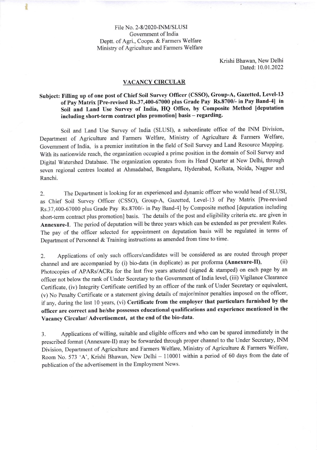File No. 2-8/2020-INM/SLUSI Covemment of India Deptt. of Agri., Coopn. & Farmers Welfare Ministry of Agriculture and Farmers Welfare

Ì

Krishi Bhawan, New Delhi Dated: 10.01.2022

## VACANCY CIRCULAR

## Subject: Filling up of one post of Chief Soil Survey Officer (CSSO), Group-A, Gazetted, Level-13<br>- S.D. M. triv. Due useited De 37,400,67000 plus Crode Pay, Bs 8700/, in Pay Band-41, in of Pay Matrix [Pre-revised Rs.37,400-67000 plus Grade Pay Rs.8700/- in Pay Band-41 in Soil and Land Use Survey of India, HQ Office, by Composite Method [deputation including short-term contract plus promotion] basis - regarding.

Soil and Land Use Survey of India (SLUSI), a subordinate office of the NM Division, Department of Agriculture and Farmers Welfare, Ministry of Agriculture & Farmers Welfare, Government of India, is a premier institution in the field of Soil Survey and Land Resource Mapping. With its nationwide reach, the organization occupied a prime position in the domain of Soil Survey and Digital Watershed Database. The organization operates from its Head Quarter at New Delhi, through seven regional centres located at Ahmadabad, Bengaluru, Hyderabad, Kolkata, Noida, Nagpur and Ranchi.

2. The Department is looking for an experienced and dynamic officer who would head of SLUSI, as Chief Soil Survey Officer (CSSO), Group-A, Gazetted, Level-13 of Pay Matrix [Pre-revised Rs.37,400-67000 plus Grade Pay Rs.8700/- in Pay Band-41 by Composite method [deputation including short-term contract plus promotion] basis. The details of the post and eligibility criteria etc. are given in Annexure.I. The period of deputation will be three years which can be extended as per prevalent Rules. The pay of the officer selected for appointment on deputation basis will be regulated in terms of Department of Personnel & Training instructions as amended from time to time.

2. Applications of only such officers/candidates will be considered as are routed through proper channel and are accompanied by (i) bio-data (in duplicate) as per proforma (Annexure-II), (ii) channel and are accompanied by (i) bio-data (in duplicate) as per proforma (Annexure-II), Photocopies of APARs/ACRs for the last five years attested (signed & stamped) on each page by an officer not below the rank of Under Secretary to the Government of India level, (iii) Vigilance Clearance Certificate, (iv) Integrity Certificate certified by an officer of the rank of Under Secretary or equivalent, (v) No Penalty Certificate or a statement giving details of major/minor penalties imposed on the officer, if any, during the last 10 years, (vi) Certificate from the employer that particulars furnished by the officer are correct and he/she possesses educationat qualifications and experience mentioned in the Vacancy Circular/ Advertisement, at the end of the bio-data.

3. Applications of willing, suitable and eligible officers and who can be spared immediately in the prescribed format (Annexure-ll) may be forwarded through proper channel to the Under Secretary, INM Division, Department of Agriculture and Farmers Welfare, Ministry of Agriculture & Farmers Welfare, Room No. 573 'A', Krishi Bhawan, New Delhi - 110001 within a period of 60 days from the date of publication of the advertisement in the Employment News.